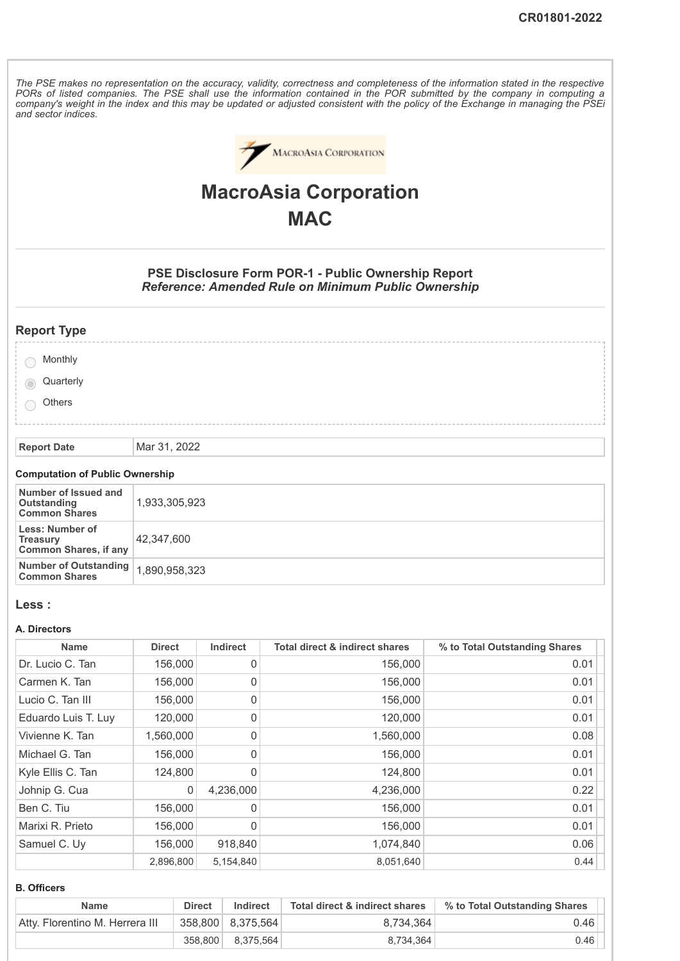The PSE makes no representation on the accuracy, validity, correctness and completeness of the information stated in the respective PORs of listed companies. The PSE shall use the information contained in the POR submitted by the company in computing a company's weight in the index and this may be updated or adjusted consistent with the policy of the Exchange in managing the PSEi *and sector indices.*



# **MacroAsia Corporation MAC**

**PSE Disclosure Form POR-1 - Public Ownership Report** *Reference: Amended Rule on Minimum Public Ownership*

| <b>Report Type</b> |  |
|--------------------|--|
|--------------------|--|

| Monthly   |  |
|-----------|--|
| Quarterly |  |
| Others    |  |
|           |  |
|           |  |

**Report Date** Mar 31, 2022

### **Computation of Public Ownership**

| Number of Issued and<br>Outstanding<br><b>Common Shares</b>        | 1,933,305,923 |
|--------------------------------------------------------------------|---------------|
| Less: Number of<br><b>Treasury</b><br><b>Common Shares, if any</b> | 42.347.600    |
| Number of Outstanding   1,890,958,323<br><b>Common Shares</b>      |               |

#### **Less :**

#### **A. Directors**

| <b>Name</b>         | <b>Direct</b> | <b>Indirect</b> | <b>Total direct &amp; indirect shares</b> | % to Total Outstanding Shares |
|---------------------|---------------|-----------------|-------------------------------------------|-------------------------------|
| Dr. Lucio C. Tan    | 156,000       | 0               | 156,000                                   | 0.01                          |
| Carmen K. Tan       | 156,000       | $\mathbf 0$     | 156,000                                   | 0.01                          |
| Lucio C. Tan III    | 156,000       | 0               | 156,000                                   | 0.01                          |
| Eduardo Luis T. Luy | 120,000       | 0               | 120,000                                   | 0.01                          |
| Vivienne K. Tan     | 1,560,000     | 0               | 1,560,000                                 | 0.08                          |
| Michael G. Tan      | 156,000       | 0               | 156,000                                   | 0.01                          |
| Kyle Ellis C. Tan   | 124,800       | $\mathbf 0$     | 124,800                                   | 0.01                          |
| Johnip G. Cua       | $\mathbf 0$   | 4,236,000       | 4,236,000                                 | 0.22                          |
| Ben C. Tiu          | 156,000       | 0               | 156,000                                   | 0.01                          |
| Marixi R. Prieto    | 156,000       | 0               | 156,000                                   | 0.01                          |
| Samuel C. Uy        | 156,000       | 918,840         | 1,074,840                                 | 0.06                          |
|                     | 2,896,800     | 5,154,840       | 8,051,640                                 | 0.44                          |

#### **B. Officers**

| <b>Name</b>                     | <b>Direct</b> | Indirect          | Total direct & indirect shares | % to Total Outstanding Shares |
|---------------------------------|---------------|-------------------|--------------------------------|-------------------------------|
| Atty. Florentino M. Herrera III |               | 358,800 8,375,564 | 8,734,364                      | 0.46                          |
|                                 |               | 358,800 8,375,564 | 8.734.364                      | 0.46                          |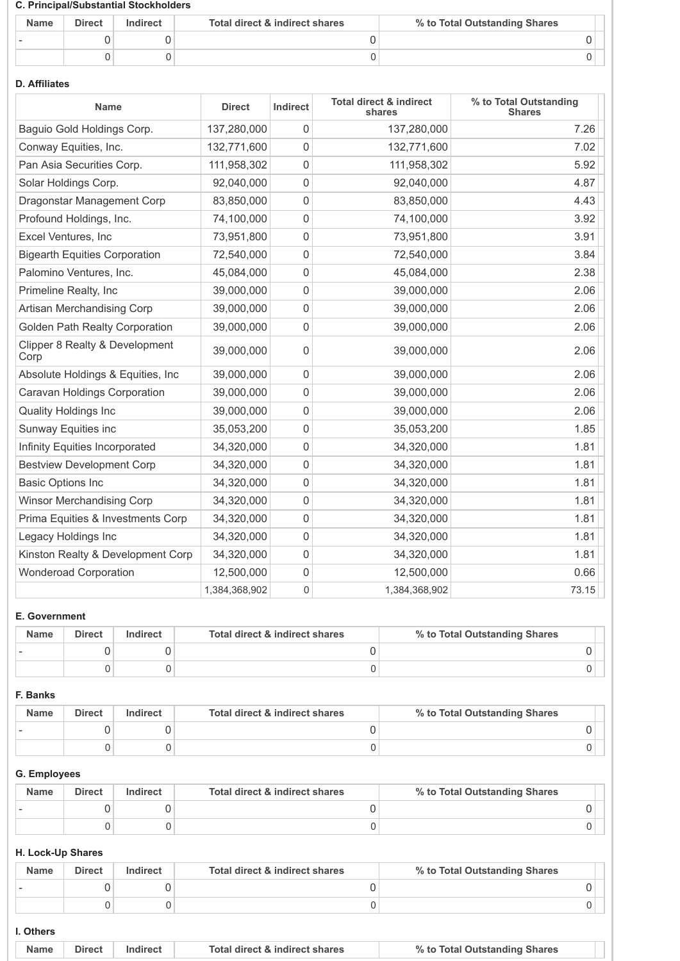#### **C. Principal/Substantial Stockholders**

| <b>Name</b> | <b>Direct</b> | Indirect | Total direct & indirect shares | % to Total Outstanding Shares |
|-------------|---------------|----------|--------------------------------|-------------------------------|
|             |               |          |                                |                               |
|             |               |          |                                |                               |

## **D. Affiliates**

| <b>Name</b>                            | <b>Direct</b> | Indirect    | <b>Total direct &amp; indirect</b><br>shares | % to Total Outstanding<br><b>Shares</b> |
|----------------------------------------|---------------|-------------|----------------------------------------------|-----------------------------------------|
| Baguio Gold Holdings Corp.             | 137,280,000   | $\Omega$    | 137,280,000                                  | 7.26                                    |
| Conway Equities, Inc.                  | 132,771,600   | 0           | 132,771,600                                  | 7.02                                    |
| Pan Asia Securities Corp.              | 111,958,302   | $\mathbf 0$ | 111,958,302                                  | 5.92                                    |
| Solar Holdings Corp.                   | 92,040,000    | 0           | 92,040,000                                   | 4.87                                    |
| Dragonstar Management Corp             | 83,850,000    | 0           | 83,850,000                                   | 4.43                                    |
| Profound Holdings, Inc.                | 74,100,000    | $\mathbf 0$ | 74,100,000                                   | 3.92                                    |
| Excel Ventures, Inc.                   | 73,951,800    | 0           | 73,951,800                                   | 3.91                                    |
| <b>Bigearth Equities Corporation</b>   | 72,540,000    | $\mathsf 0$ | 72,540,000                                   | 3.84                                    |
| Palomino Ventures, Inc.                | 45,084,000    | $\mathbf 0$ | 45,084,000                                   | 2.38                                    |
| Primeline Realty, Inc                  | 39,000,000    | 0           | 39,000,000                                   | 2.06                                    |
| Artisan Merchandising Corp             | 39,000,000    | $\mathbf 0$ | 39,000,000                                   | 2.06                                    |
| <b>Golden Path Realty Corporation</b>  | 39,000,000    | 0           | 39,000,000                                   | 2.06                                    |
| Clipper 8 Realty & Development<br>Corp | 39,000,000    | 0           | 39,000,000                                   | 2.06                                    |
| Absolute Holdings & Equities, Inc      | 39,000,000    | $\mathbf 0$ | 39,000,000                                   | 2.06                                    |
| <b>Caravan Holdings Corporation</b>    | 39,000,000    | 0           | 39,000,000                                   | 2.06                                    |
| <b>Quality Holdings Inc</b>            | 39,000,000    | 0           | 39,000,000                                   | 2.06                                    |
| Sunway Equities inc                    | 35,053,200    | $\mathsf 0$ | 35,053,200                                   | 1.85                                    |
| Infinity Equities Incorporated         | 34,320,000    | 0           | 34,320,000                                   | 1.81                                    |
| <b>Bestview Development Corp</b>       | 34,320,000    | 0           | 34,320,000                                   | 1.81                                    |
| <b>Basic Options Inc</b>               | 34,320,000    | 0           | 34,320,000                                   | 1.81                                    |
| <b>Winsor Merchandising Corp</b>       | 34,320,000    | $\mathsf 0$ | 34,320,000                                   | 1.81                                    |
| Prima Equities & Investments Corp      | 34,320,000    | 0           | 34,320,000                                   | 1.81                                    |
| Legacy Holdings Inc                    | 34,320,000    | 0           | 34,320,000                                   | 1.81                                    |
| Kinston Realty & Development Corp      | 34,320,000    | $\mathsf 0$ | 34,320,000                                   | 1.81                                    |
| <b>Wonderoad Corporation</b>           | 12,500,000    | 0           | 12,500,000                                   | 0.66                                    |
|                                        | 1,384,368,902 | $\mathbf 0$ | 1,384,368,902                                | 73.15                                   |

# **E. Government**

| <b>Name</b> | <b>Direct</b> | Indirect | Total direct & indirect shares | % to Total Outstanding Shares |
|-------------|---------------|----------|--------------------------------|-------------------------------|
|             |               |          |                                |                               |
|             |               |          |                                |                               |

## **F. Banks**

| <b>Name</b> | <b>Direct</b> | Indirect | Total direct & indirect shares | % to Total Outstanding Shares |
|-------------|---------------|----------|--------------------------------|-------------------------------|
|             |               |          |                                |                               |
|             |               |          |                                |                               |

# **G. Employees**

| <b>Name</b> | <b>Direct</b> | Indirect | Total direct & indirect shares | % to Total Outstanding Shares |
|-------------|---------------|----------|--------------------------------|-------------------------------|
|             |               |          |                                |                               |
|             |               |          |                                |                               |

# **H. Lock-Up Shares**

| <b>Name</b> | <b>Direct</b> | Indirect | Total direct & indirect shares | % to Total Outstanding Shares |
|-------------|---------------|----------|--------------------------------|-------------------------------|
|             |               |          |                                |                               |
|             |               |          |                                |                               |

# **I. Others**

| _____ |        |                                |                               |
|-------|--------|--------------------------------|-------------------------------|
| Name  | Direct | Total direct & indirect shares | % to Total Outstanding Shares |